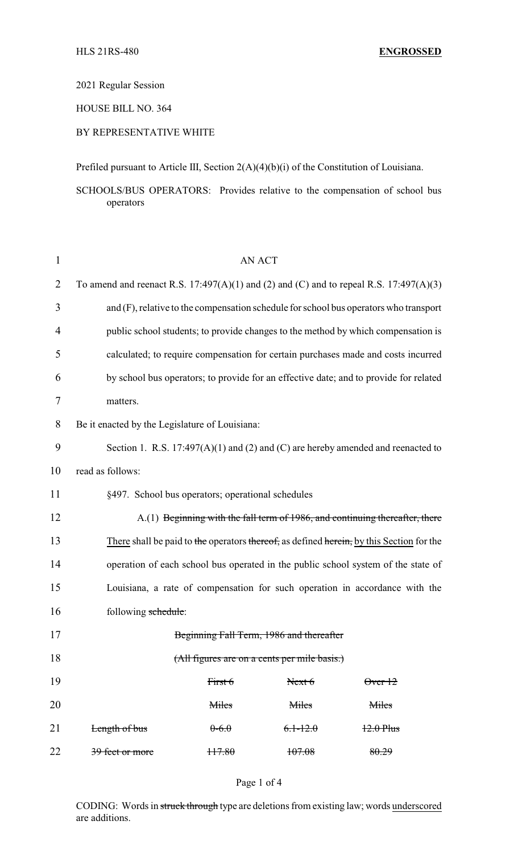2021 Regular Session

HOUSE BILL NO. 364

# BY REPRESENTATIVE WHITE

Prefiled pursuant to Article III, Section 2(A)(4)(b)(i) of the Constitution of Louisiana.

SCHOOLS/BUS OPERATORS: Provides relative to the compensation of school bus operators

| $\mathbf{1}$   | <b>AN ACT</b>                                                                            |         |                                          |                 |  |
|----------------|------------------------------------------------------------------------------------------|---------|------------------------------------------|-----------------|--|
| $\overline{2}$ | To amend and reenact R.S. 17:497(A)(1) and (2) and (C) and to repeal R.S. 17:497(A)(3)   |         |                                          |                 |  |
| 3              | and (F), relative to the compensation schedule for school bus operators who transport    |         |                                          |                 |  |
| $\overline{4}$ | public school students; to provide changes to the method by which compensation is        |         |                                          |                 |  |
| 5              | calculated; to require compensation for certain purchases made and costs incurred        |         |                                          |                 |  |
| 6              | by school bus operators; to provide for an effective date; and to provide for related    |         |                                          |                 |  |
| 7              | matters.                                                                                 |         |                                          |                 |  |
| 8              | Be it enacted by the Legislature of Louisiana:                                           |         |                                          |                 |  |
| 9              | Section 1. R.S. $17:497(A)(1)$ and (2) and (C) are hereby amended and reenacted to       |         |                                          |                 |  |
| 10             | read as follows:                                                                         |         |                                          |                 |  |
| 11             | §497. School bus operators; operational schedules                                        |         |                                          |                 |  |
| 12             | A.(1) Beginning with the fall term of 1986, and continuing thereafter, there             |         |                                          |                 |  |
| 13             | There shall be paid to the operators thereof, as defined herein, by this Section for the |         |                                          |                 |  |
| 14             | operation of each school bus operated in the public school system of the state of        |         |                                          |                 |  |
| 15             | Louisiana, a rate of compensation for such operation in accordance with the              |         |                                          |                 |  |
| 16             | following schedule:                                                                      |         |                                          |                 |  |
| 17             |                                                                                          |         | Beginning Fall Term, 1986 and thereafter |                 |  |
| 18             | (All figures are on a cents per mile basis.)                                             |         |                                          |                 |  |
| 19             |                                                                                          | First 6 | Next 6                                   | $\theta$ ver 12 |  |
| 20             |                                                                                          | Miles   | Miles                                    | Miles           |  |
| 21             | Length of bus                                                                            | $0-6.0$ | $6.1 - 12.0$                             | $12.0$ Plus     |  |
| 22             | 39 feet or more                                                                          | 117.80  | 107.08                                   | 80.29           |  |

CODING: Words in struck through type are deletions from existing law; words underscored are additions.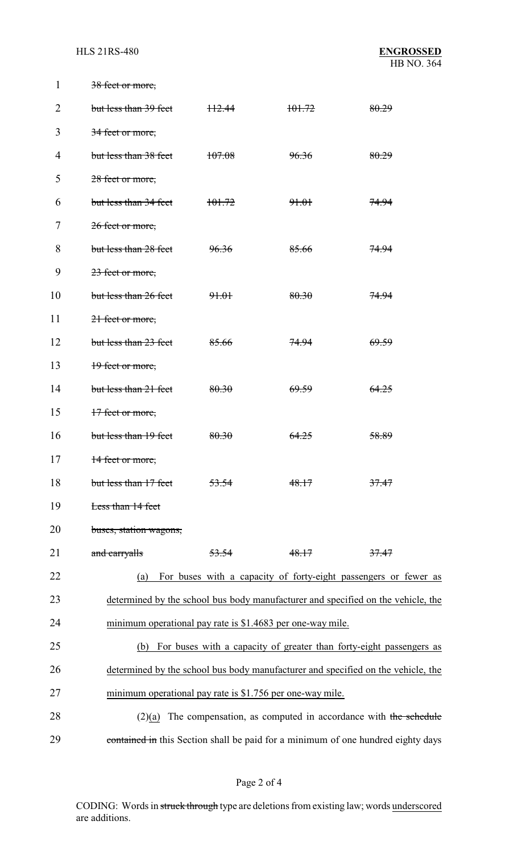| 1              | 38 feet or more,                                                                 |                  |                  |                                                                                  |  |
|----------------|----------------------------------------------------------------------------------|------------------|------------------|----------------------------------------------------------------------------------|--|
| $\overline{2}$ | but less than 39 feet                                                            | H2.44            | 101.72           | 80.29                                                                            |  |
| 3              | 34 feet or more,                                                                 |                  |                  |                                                                                  |  |
| $\overline{4}$ | but less than 38 feet                                                            | 107.08           | 96.36            | 80.29                                                                            |  |
| 5              | 28 feet or more,                                                                 |                  |                  |                                                                                  |  |
| 6              | but less than 34 feet                                                            | 101.72           | 91.01            | 74.94                                                                            |  |
| 7              | 26 feet or more,                                                                 |                  |                  |                                                                                  |  |
| 8              | but less than 28 feet                                                            | 96.36            | 85.66            | <del>74.94</del>                                                                 |  |
| 9              | 23 feet or more,                                                                 |                  |                  |                                                                                  |  |
| 10             | but less than 26 feet                                                            | <del>91.01</del> | 80.30            | <del>74.94</del>                                                                 |  |
| 11             | 21 feet or more,                                                                 |                  |                  |                                                                                  |  |
| 12             | but less than 23 feet                                                            | 85.66            | 74.94            | 69.59                                                                            |  |
| 13             | 19 feet or more,                                                                 |                  |                  |                                                                                  |  |
| 14             | but less than 21 feet                                                            | 80.30            | <del>69.59</del> | 64.25                                                                            |  |
| 15             | 17 feet or more,                                                                 |                  |                  |                                                                                  |  |
| 16             | but less than 19 feet                                                            | 80.30            | 64.25            | 58.89                                                                            |  |
| 17             | 14 feet or more,                                                                 |                  |                  |                                                                                  |  |
| 18             | but less than 17 feet                                                            | 53.54            | 48.17            | 37.47                                                                            |  |
| 19             | Less than 14 feet                                                                |                  |                  |                                                                                  |  |
| 20             | buses, station wagons,                                                           |                  |                  |                                                                                  |  |
| 21             | and carryalls                                                                    | 53.54            | 48.17            | 37.47                                                                            |  |
| 22             | (a)                                                                              |                  |                  | For buses with a capacity of forty-eight passengers or fewer as                  |  |
| 23             |                                                                                  |                  |                  | determined by the school bus body manufacturer and specified on the vehicle, the |  |
| 24             | minimum operational pay rate is \$1.4683 per one-way mile.                       |                  |                  |                                                                                  |  |
| 25             | (b)                                                                              |                  |                  | For buses with a capacity of greater than forty-eight passengers as              |  |
| 26             | determined by the school bus body manufacturer and specified on the vehicle, the |                  |                  |                                                                                  |  |
| 27             | minimum operational pay rate is \$1.756 per one-way mile.                        |                  |                  |                                                                                  |  |
| 28             | (2)(a)                                                                           |                  |                  | The compensation, as computed in accordance with the schedule                    |  |
| 29             |                                                                                  |                  |                  | contained in this Section shall be paid for a minimum of one hundred eighty days |  |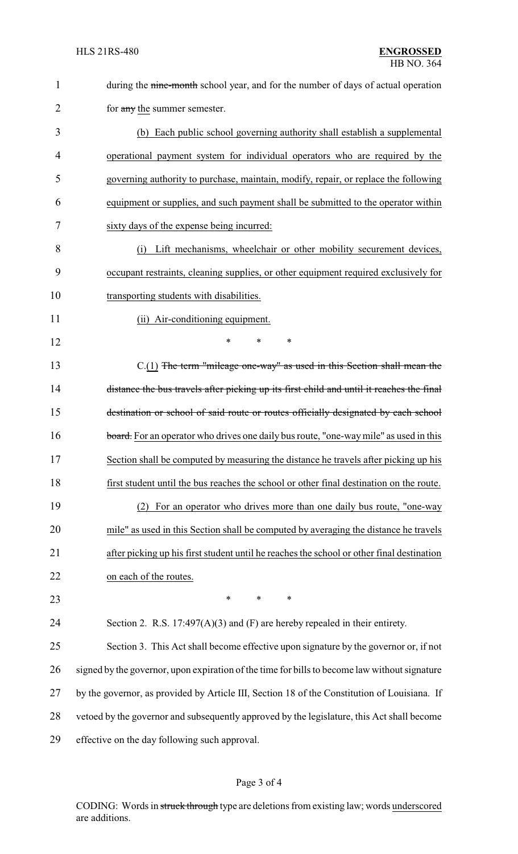| $\mathbf{1}$   | during the nine-month school year, and for the number of days of actual operation             |
|----------------|-----------------------------------------------------------------------------------------------|
| $\overline{2}$ | for any the summer semester.                                                                  |
| 3              | (b) Each public school governing authority shall establish a supplemental                     |
| 4              | operational payment system for individual operators who are required by the                   |
| 5              | governing authority to purchase, maintain, modify, repair, or replace the following           |
| 6              | equipment or supplies, and such payment shall be submitted to the operator within             |
| 7              | sixty days of the expense being incurred:                                                     |
| 8              | Lift mechanisms, wheelchair or other mobility securement devices,<br>(i)                      |
| 9              | occupant restraints, cleaning supplies, or other equipment required exclusively for           |
| 10             | transporting students with disabilities.                                                      |
| 11             | (ii) Air-conditioning equipment.                                                              |
| 12             | $\ast$<br>*<br>∗                                                                              |
| 13             | $C(1)$ The term "mileage one-way" as used in this Section shall mean the                      |
| 14             | distance the bus travels after picking up its first child and until it reaches the final      |
| 15             | destination or school of said route or routes officially designated by each school            |
| 16             | board. For an operator who drives one daily bus route, "one-way mile" as used in this         |
| 17             | Section shall be computed by measuring the distance he travels after picking up his           |
| 18             | first student until the bus reaches the school or other final destination on the route.       |
| 19             | For an operator who drives more than one daily bus route, "one-way<br>(2)                     |
| 20             | mile" as used in this Section shall be computed by averaging the distance he travels          |
| 21             | after picking up his first student until he reaches the school or other final destination     |
| 22             | on each of the routes.                                                                        |
| 23             | $\ast$<br>*<br>$\ast$                                                                         |
| 24             | Section 2. R.S. $17:497(A)(3)$ and (F) are hereby repealed in their entirety.                 |
| 25             | Section 3. This Act shall become effective upon signature by the governor or, if not          |
| 26             | signed by the governor, upon expiration of the time for bills to become law without signature |
| 27             | by the governor, as provided by Article III, Section 18 of the Constitution of Louisiana. If  |
| 28             | vetoed by the governor and subsequently approved by the legislature, this Act shall become    |
| 29             | effective on the day following such approval.                                                 |
|                |                                                                                               |

# Page 3 of 4

CODING: Words in struck through type are deletions from existing law; words underscored are additions.